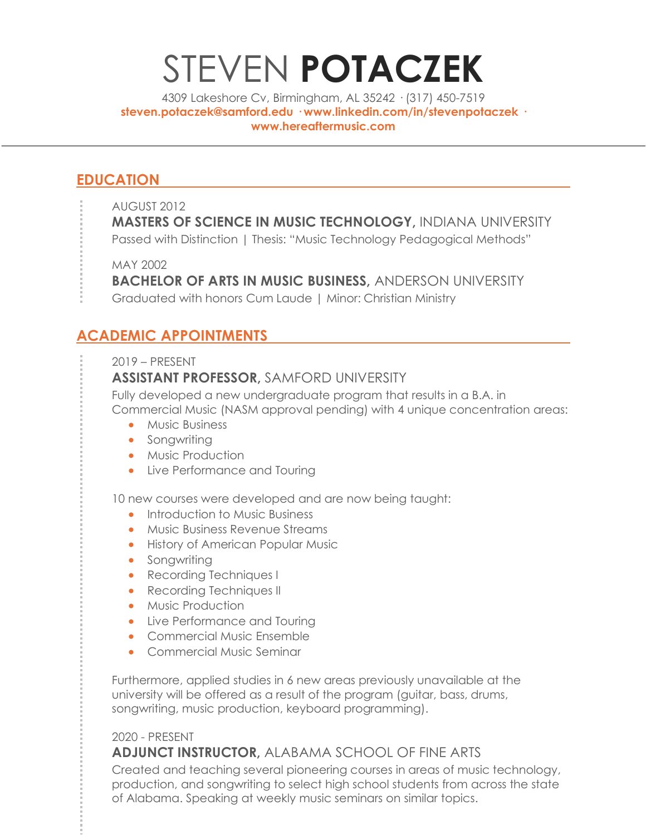# STEVEN **POTACZEK**

4309 Lakeshore Cv, Birmingham, AL 35242 · (317) 450-7519 **steven.potaczek@samford.edu · www.linkedin.com/in/stevenpotaczek · www.hereaftermusic.com**

# **EDUCATION**

- AUGUST 2012
	- **MASTERS OF SCIENCE IN MUSIC TECHNOLOGY,** INDIANA UNIVERSITY

Passed with Distinction | Thesis: "Music Technology Pedagogical Methods"

MAY 2002

**BACHELOR OF ARTS IN MUSIC BUSINESS,** ANDERSON UNIVERSITY

Graduated with honors Cum Laude | Minor: Christian Ministry

# **ACADEMIC APPOINTMENTS**

2019 – PRESENT

## **ASSISTANT PROFESSOR,** SAMFORD UNIVERSITY

Fully developed a new undergraduate program that results in a B.A. in Commercial Music (NASM approval pending) with 4 unique concentration areas:

- Music Business
- Songwriting
- Music Production
- Live Performance and Touring

10 new courses were developed and are now being taught:

- Introduction to Music Business
- Music Business Revenue Streams
- History of American Popular Music
- Songwriting
- Recording Techniques I
- Recording Techniques II
- Music Production
- Live Performance and Touring
- Commercial Music Ensemble
- Commercial Music Seminar

Furthermore, applied studies in 6 new areas previously unavailable at the university will be offered as a result of the program (guitar, bass, drums, songwriting, music production, keyboard programming).

#### 2020 - PRESENT **ADJUNCT INSTRUCTOR,** ALABAMA SCHOOL OF FINE ARTS

Created and teaching several pioneering courses in areas of music technology, production, and songwriting to select high school students from across the state of Alabama. Speaking at weekly music seminars on similar topics.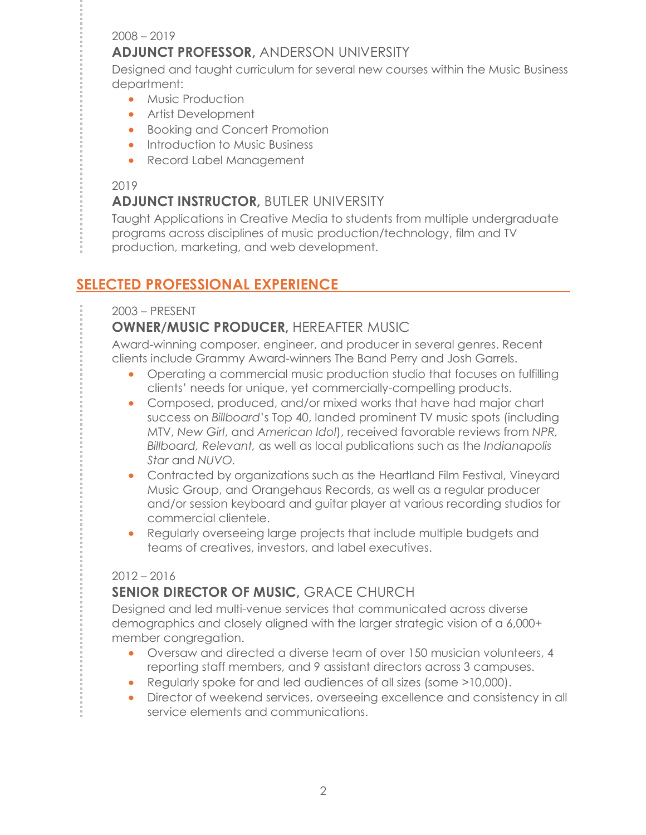#### 2008 – 2019

### **ADJUNCT PROFESSOR,** ANDERSON UNIVERSITY

Designed and taught curriculum for several new courses within the Music Business department:

- Music Production
- Artist Development
- Booking and Concert Promotion
- Introduction to Music Business
- Record Label Management

#### 2019

## **ADJUNCT INSTRUCTOR,** BUTLER UNIVERSITY

Taught Applications in Creative Media to students from multiple undergraduate programs across disciplines of music production/technology, film and TV production, marketing, and web development.

## **SELECTED PROFESSIONAL EXPERIENCE**

#### 2003 – PRESENT

### **OWNER/MUSIC PRODUCER,** HEREAFTER MUSIC

Award-winning composer, engineer, and producer in several genres. Recent clients include Grammy Award-winners The Band Perry and Josh Garrels.

- Operating a commercial music production studio that focuses on fulfilling clients' needs for unique, yet commercially-compelling products.
- Composed, produced, and/or mixed works that have had major chart success on *Billboard*'s Top 40, landed prominent TV music spots (including MTV, *New Girl*, and *American Idol*), received favorable reviews from *NPR, Billboard, Relevant,* as well as local publications such as the *Indianapolis Star* and *NUVO.*
- Contracted by organizations such as the Heartland Film Festival, Vineyard Music Group, and Orangehaus Records, as well as a regular producer and/or session keyboard and guitar player at various recording studios for commercial clientele.
- Regularly overseeing large projects that include multiple budgets and teams of creatives, investors, and label executives.

#### 2012 – 2016

## **SENIOR DIRECTOR OF MUSIC,** GRACE CHURCH

Designed and led multi-venue services that communicated across diverse demographics and closely aligned with the larger strategic vision of a 6,000+ member congregation.

- Oversaw and directed a diverse team of over 150 musician volunteers, 4 reporting staff members, and 9 assistant directors across 3 campuses.
- Regularly spoke for and led audiences of all sizes (some >10,000).
- Director of weekend services, overseeing excellence and consistency in all service elements and communications.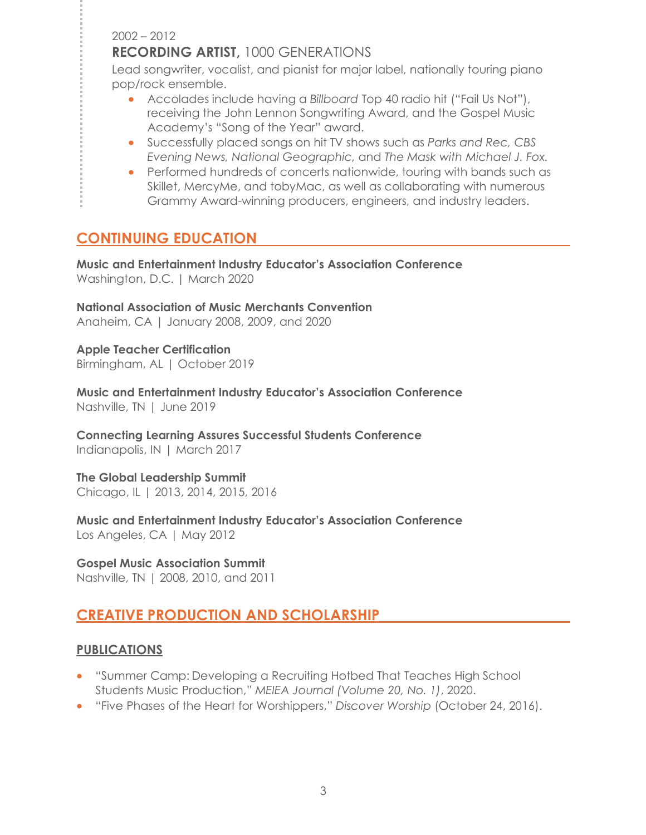2002 – 2012

### **RECORDING ARTIST,** 1000 GENERATIONS

Lead songwriter, vocalist, and pianist for major label, nationally touring piano pop/rock ensemble.

- Accolades include having a *Billboard* Top 40 radio hit ("Fail Us Not"), receiving the John Lennon Songwriting Award, and the Gospel Music Academy's "Song of the Year" award.
- Successfully placed songs on hit TV shows such as *Parks and Rec, CBS Evening News, National Geographic,* and *The Mask with Michael J. Fox.*
- Performed hundreds of concerts nationwide, touring with bands such as Skillet, MercyMe, and tobyMac, as well as collaborating with numerous Grammy Award-winning producers, engineers, and industry leaders.

# **CONTINUING EDUCATION**

**Music and Entertainment Industry Educator's Association Conference** Washington, D.C. | March 2020

**National Association of Music Merchants Convention** Anaheim, CA | January 2008, 2009, and 2020

**Apple Teacher Certification** Birmingham, AL | October 2019

**Music and Entertainment Industry Educator's Association Conference** Nashville, TN | June 2019

**Connecting Learning Assures Successful Students Conference** Indianapolis, IN | March 2017

**The Global Leadership Summit**  Chicago, IL | 2013, 2014, 2015, 2016

**Music and Entertainment Industry Educator's Association Conference** Los Angeles, CA | May 2012

**Gospel Music Association Summit** Nashville, TN | 2008, 2010, and 2011

# **CREATIVE PRODUCTION AND SCHOLARSHIP**

#### **PUBLICATIONS**

- "Summer Camp: Developing a Recruiting Hotbed That Teaches High School Students Music Production," *MEIEA Journal (Volume 20, No. 1)*, 2020.
- "Five Phases of the Heart for Worshippers," *Discover Worship* (October 24, 2016).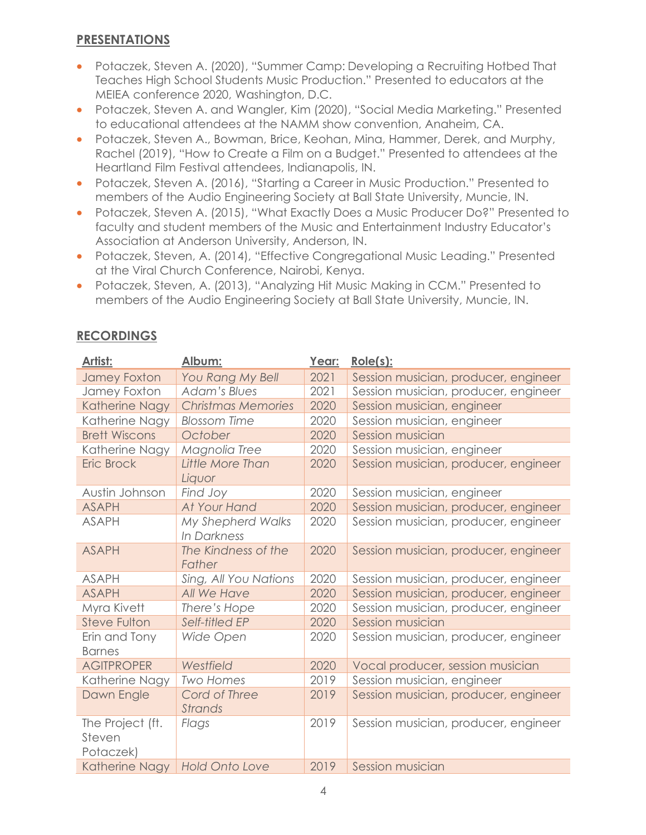## **PRESENTATIONS**

- Potaczek, Steven A. (2020), "Summer Camp: Developing a Recruiting Hotbed That Teaches High School Students Music Production." Presented to educators at the MEIEA conference 2020, Washington, D.C.
- Potaczek, Steven A. and Wangler, Kim (2020), "Social Media Marketing." Presented to educational attendees at the NAMM show convention, Anaheim, CA.
- Potaczek, Steven A., Bowman, Brice, Keohan, Mina, Hammer, Derek, and Murphy, Rachel (2019), "How to Create a Film on a Budget." Presented to attendees at the Heartland Film Festival attendees, Indianapolis, IN.
- Potaczek, Steven A. (2016), "Starting a Career in Music Production." Presented to members of the Audio Engineering Society at Ball State University, Muncie, IN.
- Potaczek, Steven A. (2015), "What Exactly Does a Music Producer Do?" Presented to faculty and student members of the Music and Entertainment Industry Educator's Association at Anderson University, Anderson, IN.
- Potaczek, Steven, A. (2014), "Effective Congregational Music Leading." Presented at the Viral Church Conference, Nairobi, Kenya.
- Potaczek, Steven, A. (2013), "Analyzing Hit Music Making in CCM." Presented to members of the Audio Engineering Society at Ball State University, Muncie, IN.

| Artist:              | Album:                    | Year: | $Role(s)$ :                          |
|----------------------|---------------------------|-------|--------------------------------------|
| <b>Jamey Foxton</b>  | You Rang My Bell          | 2021  | Session musician, producer, engineer |
| Jamey Foxton         | <b>Adam's Blues</b>       | 2021  | Session musician, producer, engineer |
| Katherine Nagy       | <b>Christmas Memories</b> | 2020  | Session musician, engineer           |
| Katherine Nagy       | <b>Blossom Time</b>       | 2020  | Session musician, engineer           |
| <b>Brett Wiscons</b> | October                   | 2020  | Session musician                     |
| Katherine Nagy       | Magnolia Tree             | 2020  | Session musician, engineer           |
| <b>Eric Brock</b>    | Little More Than          | 2020  | Session musician, producer, engineer |
|                      | Liquor                    |       |                                      |
| Austin Johnson       | Find Joy                  | 2020  | Session musician, engineer           |
| <b>ASAPH</b>         | At Your Hand              | 2020  | Session musician, producer, engineer |
| <b>ASAPH</b>         | My Shepherd Walks         | 2020  | Session musician, producer, engineer |
|                      | In Darkness               |       |                                      |
| <b>ASAPH</b>         | The Kindness of the       | 2020  | Session musician, producer, engineer |
|                      | Father                    |       |                                      |
| <b>ASAPH</b>         | Sing, All You Nations     | 2020  | Session musician, producer, engineer |
| <b>ASAPH</b>         | All We Have               | 2020  | Session musician, producer, engineer |
| Myra Kivett          | There's Hope              | 2020  | Session musician, producer, engineer |
| <b>Steve Fulton</b>  | Self-titled EP            | 2020  | Session musician                     |
| Erin and Tony        | Wide Open                 | 2020  | Session musician, producer, engineer |
| <b>Barnes</b>        |                           |       |                                      |
| <b>AGITPROPER</b>    | Westfield                 | 2020  | Vocal producer, session musician     |
| Katherine Nagy       | <b>Two Homes</b>          | 2019  | Session musician, engineer           |
| Dawn Engle           | Cord of Three             | 2019  | Session musician, producer, engineer |
|                      | Strands                   |       |                                      |
| The Project (ft.     | Flags                     | 2019  | Session musician, producer, engineer |
| Steven               |                           |       |                                      |
| Potaczek)            |                           |       |                                      |
| Katherine Nagy       | <b>Hold Onto Love</b>     | 2019  | Session musician                     |

## **RECORDINGS**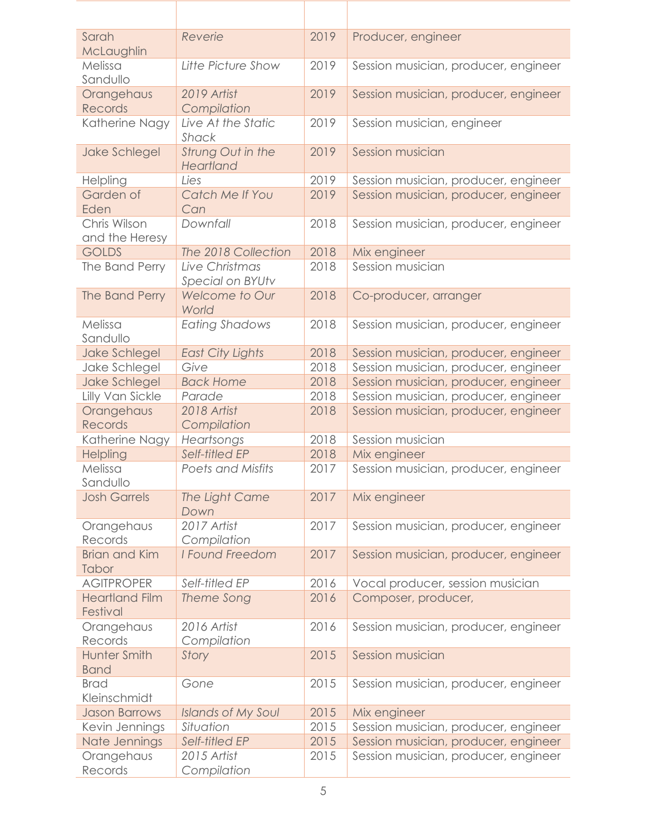| Sarah<br>McLaughlin                | Reverie                            | 2019 | Producer, engineer                   |
|------------------------------------|------------------------------------|------|--------------------------------------|
| Melissa<br>Sandullo                | Litte Picture Show                 | 2019 | Session musician, producer, engineer |
| Orangehaus<br>Records              | 2019 Artist<br>Compilation         | 2019 | Session musician, producer, engineer |
| Katherine Nagy                     | Live At the Static<br>Shack        | 2019 | Session musician, engineer           |
| Jake Schlegel                      | Strung Out in the<br>Heartland     | 2019 | Session musician                     |
| Helpling                           | Lies                               | 2019 | Session musician, producer, engineer |
| Garden of<br>Eden                  | Catch Me If You<br>Can             | 2019 | Session musician, producer, engineer |
| Chris Wilson<br>and the Heresy     | Downfall                           | 2018 | Session musician, producer, engineer |
| <b>GOLDS</b>                       | The 2018 Collection                | 2018 | Mix engineer                         |
| The Band Perry                     | Live Christmas<br>Special on BYUtv | 2018 | Session musician                     |
| The Band Perry                     | Welcome to Our<br>World            | 2018 | Co-producer, arranger                |
| Melissa<br>Sandullo                | <b>Eating Shadows</b>              | 2018 | Session musician, producer, engineer |
| Jake Schlegel                      | <b>East City Lights</b>            | 2018 | Session musician, producer, engineer |
| Jake Schlegel                      | Give                               | 2018 | Session musician, producer, engineer |
| <b>Jake Schlegel</b>               | <b>Back Home</b>                   | 2018 | Session musician, producer, engineer |
| Lilly Van Sickle                   | Parade                             | 2018 | Session musician, producer, engineer |
| Orangehaus<br>Records              | 2018 Artist<br>Compilation         | 2018 | Session musician, producer, engineer |
| Katherine Nagy                     | Heartsongs                         | 2018 | Session musician                     |
| Helpling                           | Self-titled EP                     | 2018 | Mix engineer                         |
| Melissa<br>Sandullo                | <b>Poets and Misfits</b>           | 2017 | Session musician, producer, engineer |
| <b>Josh Garrels</b>                | The Light Came<br>Down             | 2017 | Mix engineer                         |
| Orangehaus<br>Records              | 2017 Artist<br>Compilation         | 2017 | Session musician, producer, engineer |
| <b>Brian and Kim</b><br>Tabor      | I Found Freedom                    | 2017 | Session musician, producer, engineer |
| <b>AGITPROPER</b>                  | Self-titled EP                     | 2016 | Vocal producer, session musician     |
| <b>Heartland Film</b><br>Festival  | Theme Song                         | 2016 | Composer, producer,                  |
| Orangehaus<br>Records              | 2016 Artist<br>Compilation         | 2016 | Session musician, producer, engineer |
| <b>Hunter Smith</b><br><b>Band</b> | Story                              | 2015 | Session musician                     |
| <b>Brad</b><br>Kleinschmidt        | Gone                               | 2015 | Session musician, producer, engineer |
| <b>Jason Barrows</b>               | <b>Islands of My Soul</b>          | 2015 | Mix engineer                         |
| Kevin Jennings                     | Situation                          | 2015 | Session musician, producer, engineer |
| Nate Jennings                      | Self-titled EP                     | 2015 | Session musician, producer, engineer |
| Orangehaus<br>Records              | 2015 Artist<br>Compilation         | 2015 | Session musician, producer, engineer |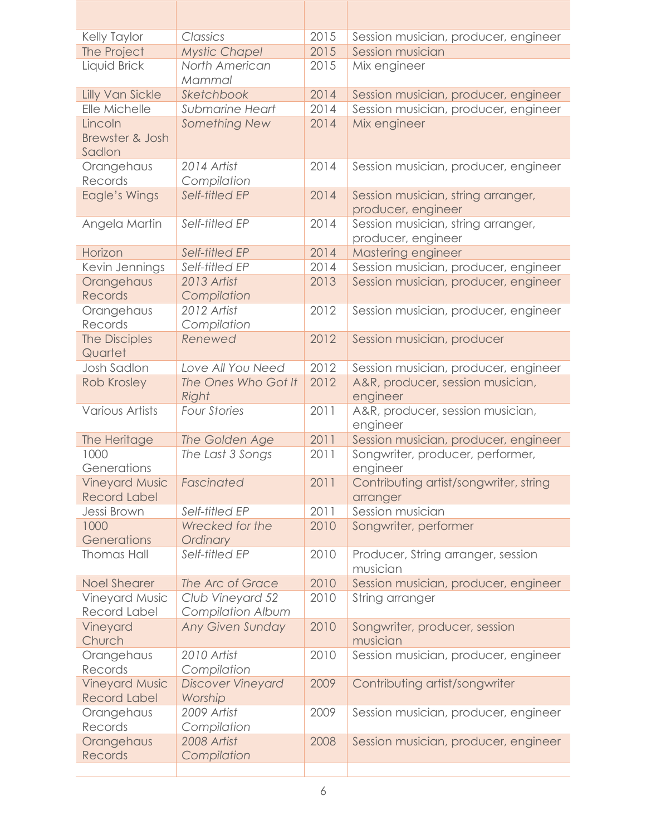| Kelly Taylor            | Classics                      | 2015 | Session musician, producer, engineer                     |
|-------------------------|-------------------------------|------|----------------------------------------------------------|
| The Project             | <b>Mystic Chapel</b>          | 2015 | Session musician                                         |
| Liquid Brick            | North American                | 2015 | Mix engineer                                             |
|                         | Mammal                        |      |                                                          |
| <b>Lilly Van Sickle</b> | Sketchbook                    | 2014 | Session musician, producer, engineer                     |
| Elle Michelle           | <b>Submarine Heart</b>        | 2014 | Session musician, producer, engineer                     |
| Lincoln                 | Something New                 | 2014 | Mix engineer                                             |
| Brewster & Josh         |                               |      |                                                          |
| Sadlon                  |                               |      |                                                          |
| Orangehaus              | 2014 Artist                   | 2014 | Session musician, producer, engineer                     |
| Records                 | Compilation<br>Self-titled EP | 2014 |                                                          |
| Eagle's Wings           |                               |      | Session musician, string arranger,<br>producer, engineer |
| Angela Martin           | Self-titled EP                | 2014 | Session musician, string arranger,                       |
|                         |                               |      | producer, engineer                                       |
| Horizon                 | Self-titled EP                | 2014 | Mastering engineer                                       |
| Kevin Jennings          | Self-titled EP                | 2014 | Session musician, producer, engineer                     |
| Orangehaus              | 2013 Artist                   | 2013 | Session musician, producer, engineer                     |
| Records                 | Compilation                   |      |                                                          |
| Orangehaus              | 2012 Artist                   | 2012 | Session musician, producer, engineer                     |
| Records                 | Compilation                   |      |                                                          |
| The Disciples           | Renewed                       | 2012 | Session musician, producer                               |
| Quartet                 |                               |      |                                                          |
| <b>Josh Sadlon</b>      | Love All You Need             | 2012 | Session musician, producer, engineer                     |
| Rob Krosley             | The Ones Who Got It           | 2012 | A&R, producer, session musician,                         |
|                         | Right                         |      | engineer                                                 |
| <b>Various Artists</b>  | <b>Four Stories</b>           | 2011 | A&R, producer, session musician,                         |
| The Heritage            | The Golden Age                | 2011 | engineer<br>Session musician, producer, engineer         |
| 1000                    | The Last 3 Songs              | 2011 | Songwriter, producer, performer,                         |
| Generations             |                               |      | engineer                                                 |
| <b>Vineyard Music</b>   | Fascinated                    | 2011 | Contributing artist/songwriter, string                   |
| <b>Record Label</b>     |                               |      | arranger                                                 |
| Jessi Brown             | Self-titled EP                | 2011 | Session musician                                         |
| 1000                    | Wrecked for the               | 2010 | Songwriter, performer                                    |
| Generations             | Ordinary                      |      |                                                          |
| <b>Thomas Hall</b>      | Self-titled EP                | 2010 | Producer, String arranger, session                       |
|                         |                               |      | musician                                                 |
| <b>Noel Shearer</b>     | The Arc of Grace              | 2010 | Session musician, producer, engineer                     |
| Vineyard Music          | Club Vineyard 52              | 2010 | String arranger                                          |
| <b>Record Label</b>     | <b>Compilation Album</b>      |      |                                                          |
| Vineyard<br>Church      |                               |      |                                                          |
|                         | <b>Any Given Sunday</b>       | 2010 | Songwriter, producer, session                            |
|                         |                               |      | musician                                                 |
| Orangehaus              | 2010 Artist                   | 2010 | Session musician, producer, engineer                     |
| Records                 | Compilation                   |      |                                                          |
| <b>Vineyard Music</b>   | <b>Discover Vineyard</b>      | 2009 | Contributing artist/songwriter                           |
| <b>Record Label</b>     | Worship                       |      |                                                          |
| Orangehaus              | 2009 Artist                   | 2009 | Session musician, producer, engineer                     |
| Records<br>Orangehaus   | Compilation<br>2008 Artist    | 2008 | Session musician, producer, engineer                     |
| Records                 | Compilation                   |      |                                                          |

- 1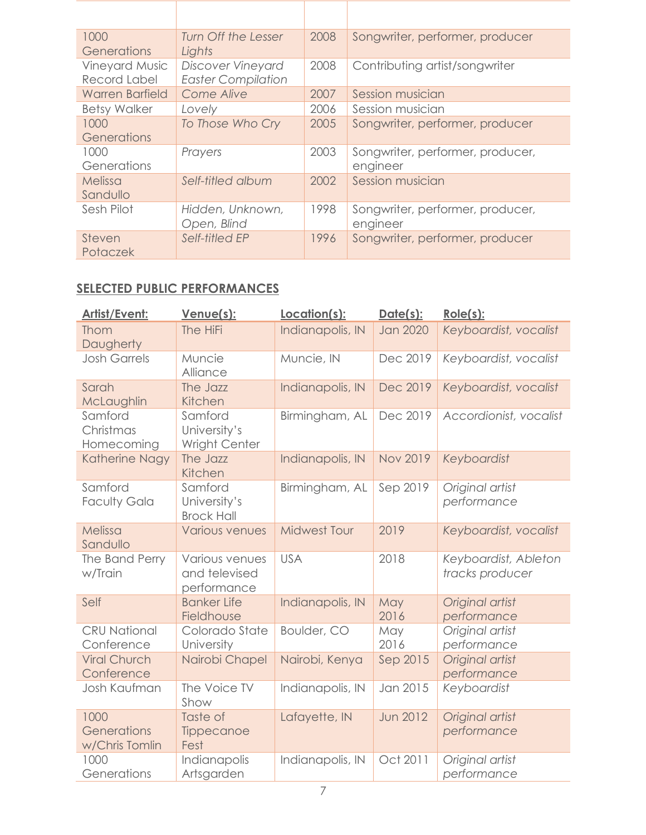| 1000<br>Generations                   | Turn Off the Lesser<br>Lights                         | 2008 | Songwriter, performer, producer              |
|---------------------------------------|-------------------------------------------------------|------|----------------------------------------------|
| <b>Vineyard Music</b><br>Record Label | <b>Discover Vineyard</b><br><b>Easter Compilation</b> | 2008 | Contributing artist/songwriter               |
| <b>Warren Barfield</b>                | Come Alive                                            | 2007 | Session musician                             |
| <b>Betsy Walker</b>                   | Lovely                                                | 2006 | Session musician                             |
| 1000<br>Generations                   | To Those Who Cry                                      | 2005 | Songwriter, performer, producer              |
| 1000<br>Generations                   | Prayers                                               | 2003 | Songwriter, performer, producer,<br>engineer |
| Melissa<br>Sandullo                   | Self-titled album                                     | 2002 | Session musician                             |
| Sesh Pilot                            | Hidden, Unknown,<br>Open, Blind                       | 1998 | Songwriter, performer, producer,<br>engineer |
| Steven<br>Potaczek                    | Self-titled EP                                        | 1996 | Songwriter, performer, producer              |

#### **SELECTED PUBLIC PERFORMANCES**

| <b>Artist/Event:</b>                  | Venue(s):                                      | Location(s):        | Date(s):        | $Role(s)$ :                             |
|---------------------------------------|------------------------------------------------|---------------------|-----------------|-----------------------------------------|
| Thom<br>Daugherty                     | The HiFi                                       | Indianapolis, IN    | <b>Jan 2020</b> | Keyboardist, vocalist                   |
| <b>Josh Garrels</b>                   | Muncie<br>Alliance                             | Muncie, IN          | Dec 2019        | Keyboardist, vocalist                   |
| Sarah<br>McLaughlin                   | The Jazz<br>Kitchen                            | Indianapolis, IN    | Dec 2019        | Keyboardist, vocalist                   |
| Samford<br>Christmas<br>Homecoming    | Samford<br>University's<br>Wright Center       | Birmingham, AL      | Dec 2019        | Accordionist, vocalist                  |
| Katherine Nagy                        | The Jazz<br>Kitchen                            | Indianapolis, IN    | <b>Nov 2019</b> | Keyboardist                             |
| Samford<br><b>Faculty Gala</b>        | Samford<br>University's<br><b>Brock Hall</b>   | Birmingham, AL      | Sep 2019        | Original artist<br>performance          |
| Melissa<br>Sandullo                   | <b>Various venues</b>                          | <b>Midwest Tour</b> | 2019            | Keyboardist, vocalist                   |
| The Band Perry<br>w/Train             | Various venues<br>and televised<br>performance | <b>USA</b>          | 2018            | Keyboardist, Ableton<br>tracks producer |
| Self                                  | <b>Banker Life</b><br>Fieldhouse               | Indianapolis, IN    | May<br>2016     | Original artist<br>performance          |
| <b>CRU National</b><br>Conference     | Colorado State<br>University                   | Boulder, CO         | May<br>2016     | Original artist<br>performance          |
| <b>Viral Church</b><br>Conference     | Nairobi Chapel                                 | Nairobi, Kenya      | Sep 2015        | Original artist<br>performance          |
| Josh Kaufman                          | The Voice TV<br>Show                           | Indianapolis, IN    | Jan 2015        | Keyboardist                             |
| 1000<br>Generations<br>w/Chris Tomlin | Taste of<br>Tippecanoe<br>Fest                 | Lafayette, IN       | <b>Jun 2012</b> | Original artist<br>performance          |
| 1000<br>Generations                   | Indianapolis<br>Artsgarden                     | Indianapolis, IN    | Oct 2011        | Original artist<br>performance          |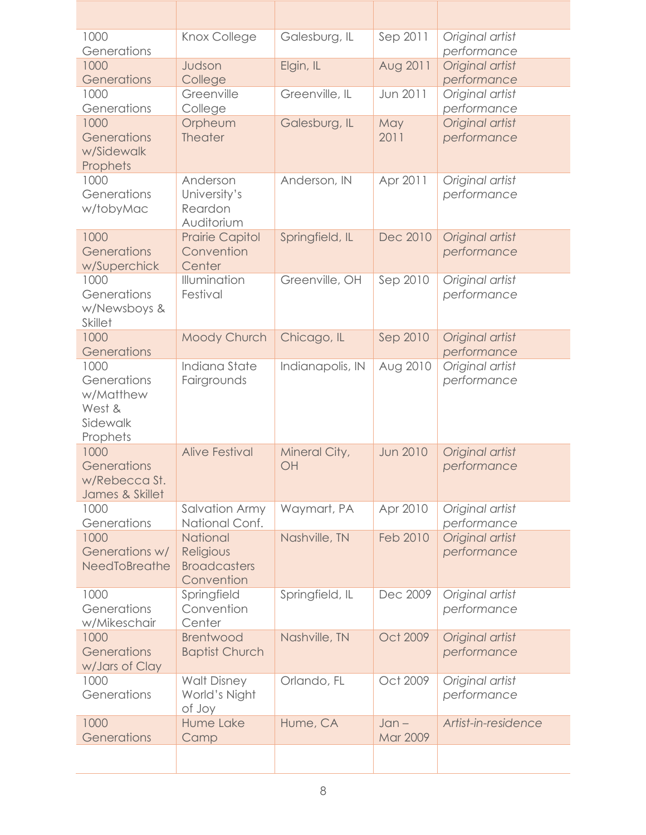| 1000                    | Knox College            | Galesburg, IL    | Sep 2011        | Original artist     |
|-------------------------|-------------------------|------------------|-----------------|---------------------|
| Generations             |                         |                  |                 | performance         |
| 1000                    | Judson                  | Elgin, IL        | Aug 2011        | Original artist     |
| Generations             | College                 |                  |                 | performance         |
| 1000                    | Greenville              | Greenville, IL   | Jun 2011        | Original artist     |
| Generations             | College                 |                  |                 | performance         |
| 1000<br>Generations     | Orpheum                 | Galesburg, IL    | May             | Original artist     |
| w/Sidewalk              | Theater                 |                  | 2011            | performance         |
| Prophets                |                         |                  |                 |                     |
| 1000                    | Anderson                | Anderson, IN     | Apr 2011        | Original artist     |
| Generations             | University's            |                  |                 | performance         |
| w/tobyMac               | Reardon                 |                  |                 |                     |
|                         | Auditorium              |                  |                 |                     |
| 1000                    | <b>Prairie Capitol</b>  | Springfield, IL  | Dec 2010        | Original artist     |
| Generations             | Convention              |                  |                 | performance         |
| w/Superchick            | Center                  |                  |                 |                     |
| 1000                    | Illumination            | Greenville, OH   | Sep 2010        | Original artist     |
| Generations             | Festival                |                  |                 | performance         |
| w/Newsboys &            |                         |                  |                 |                     |
| <b>Skillet</b><br>1000  | Moody Church            | Chicago, IL      | Sep 2010        | Original artist     |
| Generations             |                         |                  |                 | performance         |
| 1000                    | Indiana State           | Indianapolis, IN | Aug 2010        | Original artist     |
| Generations             | Fairgrounds             |                  |                 | performance         |
| w/Matthew               |                         |                  |                 |                     |
| West &                  |                         |                  |                 |                     |
| Sidewalk                |                         |                  |                 |                     |
| Prophets                |                         |                  |                 |                     |
| 1000                    | <b>Alive Festival</b>   | Mineral City,    | <b>Jun 2010</b> | Original artist     |
| Generations             |                         | OH               |                 | performance         |
| w/Rebecca St.           |                         |                  |                 |                     |
| James & Skillet<br>1000 | <b>Salvation Army</b>   | Waymart, PA      | Apr 2010        | Original artist     |
| Generations             | National Conf.          |                  |                 | performance         |
| 1000                    | National                | Nashville, TN    | <b>Feb 2010</b> | Original artist     |
| Generations w/          | Religious               |                  |                 | performance         |
| NeedToBreathe           | <b>Broadcasters</b>     |                  |                 |                     |
|                         | Convention              |                  |                 |                     |
| 1000                    | Springfield             | Springfield, IL  | Dec 2009        | Original artist     |
| Generations             | Convention              |                  |                 | performance         |
| w/Mikeschair            | Center                  |                  |                 |                     |
| 1000                    | <b>Brentwood</b>        | Nashville, TN    | Oct 2009        | Original artist     |
| Generations             | <b>Baptist Church</b>   |                  |                 | performance         |
| w/Jars of Clay          |                         |                  |                 |                     |
| 1000<br>Generations     | <b>Walt Disney</b>      | Orlando, FL      | Oct 2009        | Original artist     |
|                         | World's Night<br>of Joy |                  |                 | performance         |
| 1000                    | Hume Lake               | Hume, CA         | $Jan -$         | Artist-in-residence |
| Generations             | Camp                    |                  | Mar 2009        |                     |
|                         |                         |                  |                 |                     |
|                         |                         |                  |                 |                     |

Π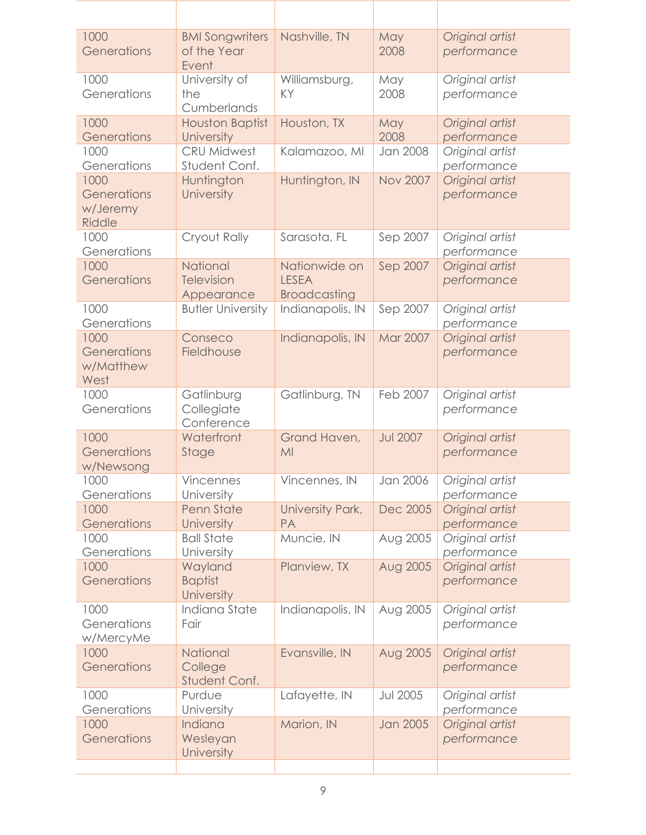| 1000<br>Generations                              | <b>BMI Songwriters</b><br>of the Year<br>Event     | Nashville, TN                                        | May<br>2008     | Original artist<br>performance |
|--------------------------------------------------|----------------------------------------------------|------------------------------------------------------|-----------------|--------------------------------|
| 1000<br>Generations                              | University of<br>the<br>Cumberlands                | Williamsburg,<br>KY                                  | May<br>2008     | Original artist<br>performance |
| 1000<br>Generations                              | <b>Houston Baptist</b><br>University               | Houston, TX                                          | May<br>2008     | Original artist<br>performance |
| 1000<br>Generations                              | <b>CRU Midwest</b><br>Student Conf.                | Kalamazoo, MI                                        | Jan 2008        | Original artist<br>performance |
| 1000<br>Generations<br>w/Jeremy<br><b>Riddle</b> | Huntington<br>University                           | Huntington, IN                                       | <b>Nov 2007</b> | Original artist<br>performance |
| 1000<br>Generations                              | Cryout Rally                                       | Sarasota, FL                                         | Sep 2007        | Original artist<br>performance |
| 1000<br>Generations                              | <b>National</b><br><b>Television</b><br>Appearance | Nationwide on<br><b>LESEA</b><br><b>Broadcasting</b> | Sep 2007        | Original artist<br>performance |
| 1000<br>Generations                              | <b>Butler University</b>                           | Indianapolis, IN                                     | Sep 2007        | Original artist<br>performance |
| 1000<br>Generations<br>w/Matthew<br>West         | Conseco<br>Fieldhouse                              | Indianapolis, IN                                     | <b>Mar 2007</b> | Original artist<br>performance |
| 1000<br>Generations                              | Gatlinburg<br>Collegiate<br>Conference             | Gatlinburg, TN                                       | Feb 2007        | Original artist<br>performance |
| 1000<br>Generations<br>w/Newsong                 | Waterfront<br>Stage                                | Grand Haven,<br>MI                                   | <b>Jul 2007</b> | Original artist<br>performance |
| 1000<br>Generations                              | Vincennes<br>University                            | Vincennes, IN                                        | Jan 2006        | Original artist<br>performance |
| 1000<br>Generations                              | Penn State<br>University                           | University Park,<br><b>PA</b>                        | Dec 2005        | Original artist<br>performance |
| 1000<br>Generations                              | <b>Ball State</b><br>University                    | Muncie, IN                                           | Aug 2005        | Original artist<br>performance |
| 1000<br>Generations                              | Wayland<br><b>Baptist</b><br>University            | Planview, TX                                         | Aug 2005        | Original artist<br>performance |
| 1000<br>Generations<br>w/MercyMe                 | <b>Indiana State</b><br>Fair                       | Indianapolis, IN                                     | Aug 2005        | Original artist<br>performance |
| 1000<br>Generations                              | <b>National</b><br>College<br>Student Conf.        | Evansville, IN                                       | Aug 2005        | Original artist<br>performance |
| 1000<br>Generations                              | Purdue<br>University                               | Lafayette, IN                                        | <b>Jul 2005</b> | Original artist<br>performance |
| 1000<br>Generations                              | Indiana<br>Wesleyan<br>University                  | Marion, IN                                           | <b>Jan 2005</b> | Original artist<br>performance |
|                                                  |                                                    |                                                      |                 |                                |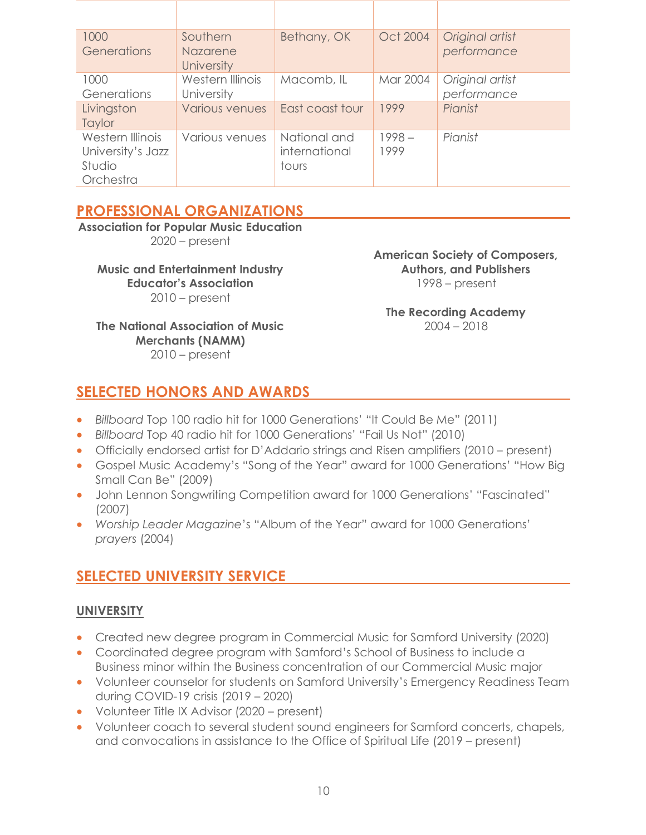| 1000<br>Generations                                          | Southern<br>Nazarene<br><b>University</b> | Bethany, OK                            | Oct 2004         | Original artist<br>performance |
|--------------------------------------------------------------|-------------------------------------------|----------------------------------------|------------------|--------------------------------|
| 1000<br>Generations                                          | Western Illinois<br>University            | Macomb, IL                             | Mar 2004         | Original artist<br>performance |
| Livingston<br>Taylor                                         | <b>Various venues</b>                     | East coast tour                        | 1999             | Pianist                        |
| Western Illinois<br>University's Jazz<br>Studio<br>Orchestra | Various venues                            | National and<br>international<br>tours | $1998 -$<br>1999 | Pianist                        |

## **PROFESSIONAL ORGANIZATIONS**

**Association for Popular Music Education**  2020 – present

**Music and Entertainment Industry Educator's Association** 2010 – present

**The National Association of Music Merchants (NAMM)** 2010 – present

**American Society of Composers, Authors, and Publishers** 1998 – present

**The Recording Academy** 2004 – 2018

# **SELECTED HONORS AND AWARDS**

- *Billboard* Top 100 radio hit for 1000 Generations' "It Could Be Me" (2011)
- *Billboard* Top 40 radio hit for 1000 Generations' "Fail Us Not" (2010)
- Officially endorsed artist for D'Addario strings and Risen amplifiers (2010 present)
- Gospel Music Academy's "Song of the Year" award for 1000 Generations' "How Big Small Can Be" (2009)
- John Lennon Songwriting Competition award for 1000 Generations' "Fascinated" (2007)
- *Worship Leader Magazine*'s "Album of the Year" award for 1000 Generations' *prayers* (2004)

## **SELECTED UNIVERSITY SERVICE**

#### **UNIVERSITY**

- Created new degree program in Commercial Music for Samford University (2020)
- Coordinated degree program with Samford's School of Business to include a Business minor within the Business concentration of our Commercial Music major
- Volunteer counselor for students on Samford University's Emergency Readiness Team during COVID-19 crisis (2019 – 2020)
- Volunteer Title IX Advisor (2020 present)
- Volunteer coach to several student sound engineers for Samford concerts, chapels, and convocations in assistance to the Office of Spiritual Life (2019 – present)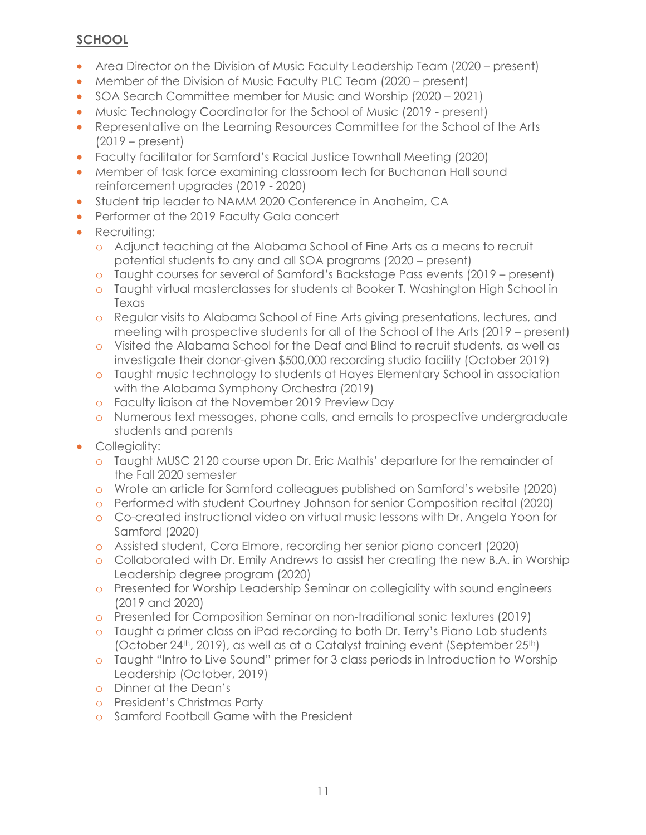## **SCHOOL**

- Area Director on the Division of Music Faculty Leadership Team (2020 present)
- Member of the Division of Music Faculty PLC Team (2020 present)
- SOA Search Committee member for Music and Worship (2020 2021)
- Music Technology Coordinator for the School of Music (2019 present)
- Representative on the Learning Resources Committee for the School of the Arts (2019 – present)
- Faculty facilitator for Samford's Racial Justice Townhall Meeting (2020)
- Member of task force examining classroom tech for Buchanan Hall sound reinforcement upgrades (2019 - 2020)
- Student trip leader to NAMM 2020 Conference in Anaheim, CA
- Performer at the 2019 Faculty Gala concert
- Recruiting:
	- o Adjunct teaching at the Alabama School of Fine Arts as a means to recruit potential students to any and all SOA programs (2020 – present)
	- o Taught courses for several of Samford's Backstage Pass events (2019 present)
	- o Taught virtual masterclasses for students at Booker T. Washington High School in Texas
	- o Regular visits to Alabama School of Fine Arts giving presentations, lectures, and meeting with prospective students for all of the School of the Arts (2019 – present)
	- o Visited the Alabama School for the Deaf and Blind to recruit students, as well as investigate their donor-given \$500,000 recording studio facility (October 2019)
	- o Taught music technology to students at Hayes Elementary School in association with the Alabama Symphony Orchestra (2019)
	- o Faculty liaison at the November 2019 Preview Day
	- o Numerous text messages, phone calls, and emails to prospective undergraduate students and parents
- Collegiality:
	- o Taught MUSC 2120 course upon Dr. Eric Mathis' departure for the remainder of the Fall 2020 semester
	- o Wrote an article for Samford colleagues published on Samford's website (2020)
	- o Performed with student Courtney Johnson for senior Composition recital (2020)
	- o Co-created instructional video on virtual music lessons with Dr. Angela Yoon for Samford (2020)
	- o Assisted student, Cora Elmore, recording her senior piano concert (2020)
	- o Collaborated with Dr. Emily Andrews to assist her creating the new B.A. in Worship Leadership degree program (2020)
	- o Presented for Worship Leadership Seminar on collegiality with sound engineers (2019 and 2020)
	- o Presented for Composition Seminar on non-traditional sonic textures (2019)
	- o Taught a primer class on iPad recording to both Dr. Terry's Piano Lab students (October 24<sup>th</sup>, 2019), as well as at a Catalyst training event (September 25<sup>th</sup>)
	- o Taught "Intro to Live Sound" primer for 3 class periods in Introduction to Worship Leadership (October, 2019)
	- o Dinner at the Dean's
	- o President's Christmas Party
	- o Samford Football Game with the President